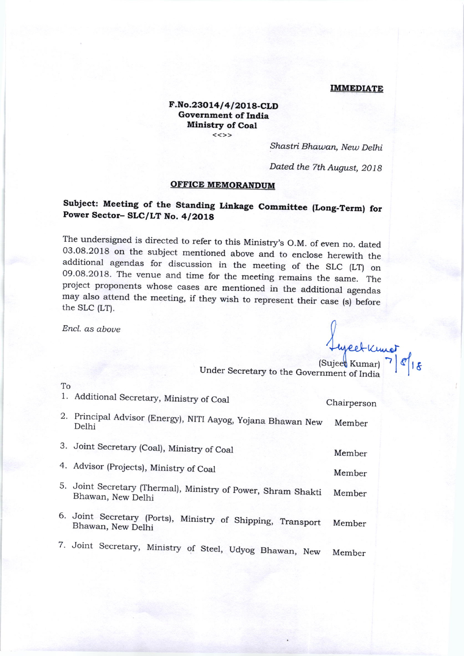#### IMMEDIATE

Lycetkunet

### F.No.23014/4/2018-CLD Government of India Ministry of Coal

Shastri Bhawan, New Delhi

Dated the 7th August, 2018

#### OFFICE MEMORANDIM

## Subject: Meeting of the Standing Linkage Committee (Long-Term) for Power Sector- SLC/LT No. 4/2018

The undersigned is directed to refer to this Ministry's O.M. of even no. dated 03.08.2018 on the subject mentioned above and to enclose herewith the additional agendas for discussion in the meeting of the SLC  $(LT)$  on 09. may also attend the meeting, if they wish to represent their case (s) before the SLC (LT).

Encl. as aboue

To 1. Additional Secretary, Ministry of Coal 2. Principal Advisor (Energr), NITI Aayog, yojana Bhawan New Delhi 3. Joint Secretary (Coal), Ministry of Coal 4. Advisor (Projects), Ministry of Coal 5. Joint Secretary fihermal), Ministry of power, Shram Shakti Bhawan, New Delhi 6. Joint Secretaqr (ports), Ministry of Shipping, Transport Bhawan, New Delhi 7. Joint Secretary, Ministry of Steel, Udyog Bhawan, New Chairperson Member Member Member Member Member Member (Sujeet Kumar)<br>Under Secretary to the Government of India  $\varepsilon |_{1,\mathsf{g}}$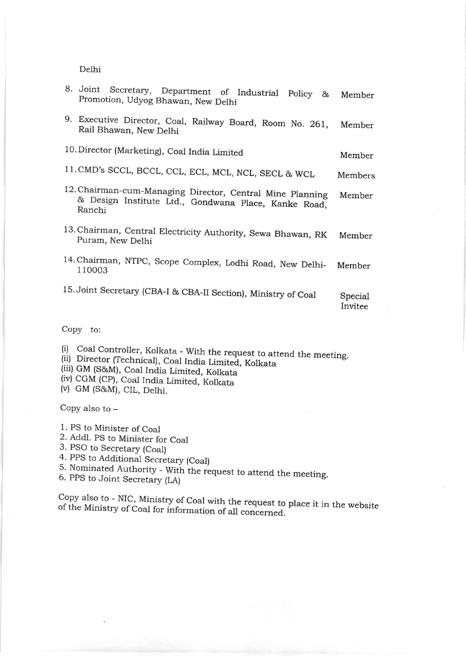Delhi

| 8. Joint Secretary, Department of Industrial Policy &<br>Promotion, Udyog Bhawan, New Delhi                                 | Member             |
|-----------------------------------------------------------------------------------------------------------------------------|--------------------|
| 9. Executive Director, Coal, Railway Board, Room No. 261,<br>Rail Bhawan, New Delhi                                         | Member             |
| 10. Director (Marketing), Coal India Limited                                                                                | Member             |
| 11. CMD's SCCL, BCCL, CCL, ECL, MCL, NCL, SECL & WCL                                                                        | Members            |
| 12. Chairman-cum-Managing Director, Central Mine Planning<br>& Design Institute Ltd., Gondwana Place, Kanke Road,<br>Ranchi | Member             |
| 13. Chairman, Central Electricity Authority, Sewa Bhawan, RK<br>Puram, New Delhi                                            | Member             |
| 14. Chairman, NTPC, Scope Complex, Lodhi Road, New Delhi-<br>110003                                                         | Member             |
| 15. Joint Secretary (CBA-I & CBA-II Section), Ministry of Coal                                                              | Special<br>Invitee |

Copy to:

(i) Coal Controller, Kolkata - With the request to attend the meeting.

ii) Director (Technical), Coal India Limited, Kolkata<br>(iii) GM (S&M), Coal India Limited, Kolkata

(iv) CGM (CP), Coal India Limited, Kolkata<br>(v) GM (S&M), CIL, Delhi.

Copy also to -

1. PS to Minister of Coal

2. Addl. PS to Minister for Coal

3. PSO to Secretary (Coal)

4. PPS to Additional Secretary (Coal)

5. Nominated Authority - With the request to attend the meeting.<br>6. PPS to Joint Secretary (LA)

of the Ministry Copy also to - NIC, Ministry of Coal with the request to place it in the website<br>of the Ministry of Coal for information of all concerned.  $\sum_{n=1}^{\infty}$